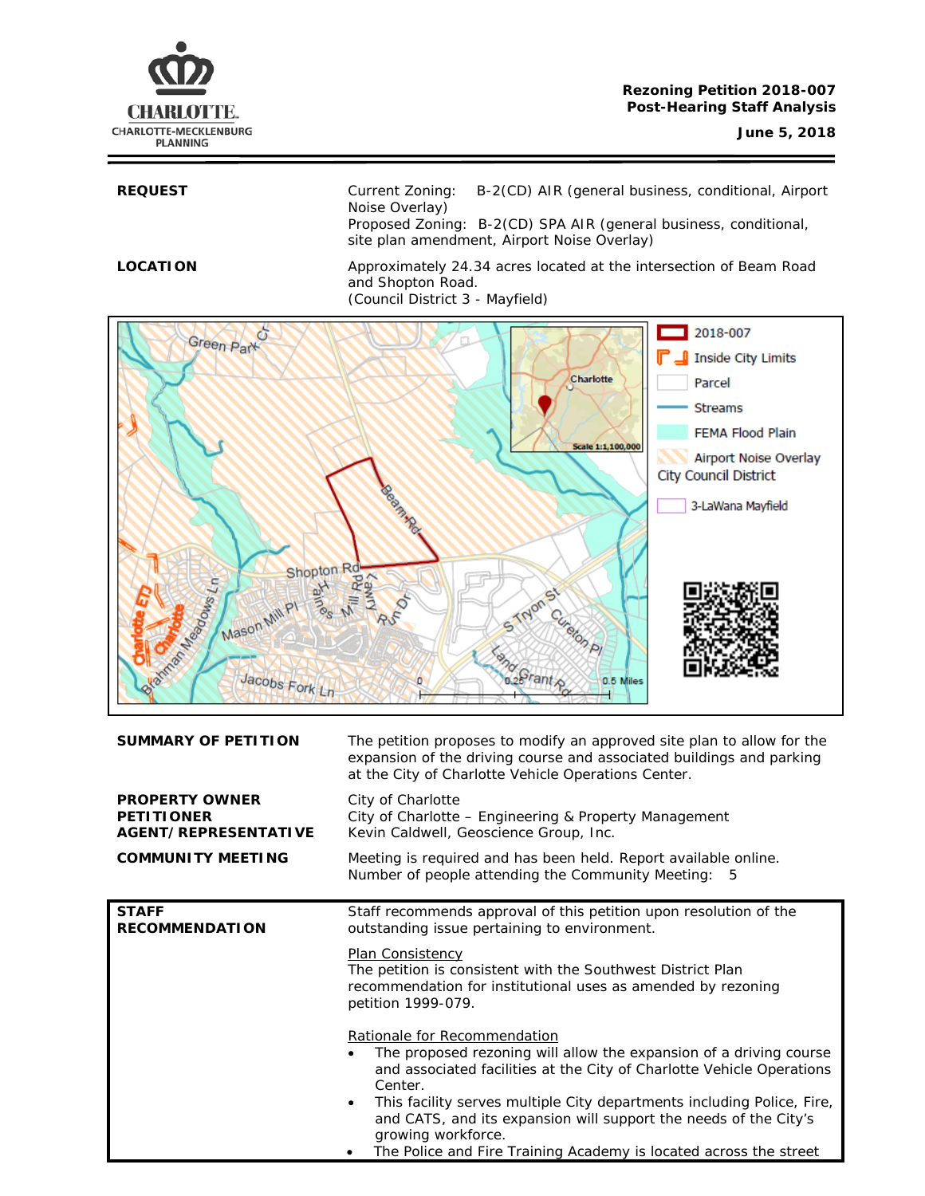# **CHARLOTTE.** CHARLOTTE-MECKLENBURG **PLANNING**

**REQUEST** Current Zoning: B-2(CD) AIR (general business, conditional, Airport Noise Overlay) Proposed Zoning: B-2(CD) SPA AIR (general business, conditional, site plan amendment, Airport Noise Overlay)

**LOCATION** Approximately 24.34 acres located at the intersection of Beam Road and Shopton Road. (Council District 3 - Mayfield)



| <b>PROPERTY OWNER</b><br>City of Charlotte<br><b>PETITIONER</b><br>City of Charlotte - Engineering & Property Management<br>AGENT/REPRESENTATIVE<br>Kevin Caldwell, Geoscience Group, Inc.<br><b>COMMUNITY MEETING</b><br>Meeting is required and has been held. Report available online.<br>Number of people attending the Community Meeting:<br>5<br>Staff recommends approval of this petition upon resolution of the<br><b>STAFF</b><br><b>RECOMMENDATION</b><br>outstanding issue pertaining to environment. |  |  |  |
|-------------------------------------------------------------------------------------------------------------------------------------------------------------------------------------------------------------------------------------------------------------------------------------------------------------------------------------------------------------------------------------------------------------------------------------------------------------------------------------------------------------------|--|--|--|
|                                                                                                                                                                                                                                                                                                                                                                                                                                                                                                                   |  |  |  |
|                                                                                                                                                                                                                                                                                                                                                                                                                                                                                                                   |  |  |  |
|                                                                                                                                                                                                                                                                                                                                                                                                                                                                                                                   |  |  |  |
| Plan Consistency<br>The petition is consistent with the Southwest District Plan<br>recommendation for institutional uses as amended by rezoning<br>petition 1999-079.                                                                                                                                                                                                                                                                                                                                             |  |  |  |
| Rationale for Recommendation<br>The proposed rezoning will allow the expansion of a driving course<br>and associated facilities at the City of Charlotte Vehicle Operations<br>Center.                                                                                                                                                                                                                                                                                                                            |  |  |  |
| This facility serves multiple City departments including Police, Fire,<br>$\bullet$<br>and CATS, and its expansion will support the needs of the City's<br>growing workforce.<br>The Police and Fire Training Academy is located across the street<br>٠                                                                                                                                                                                                                                                           |  |  |  |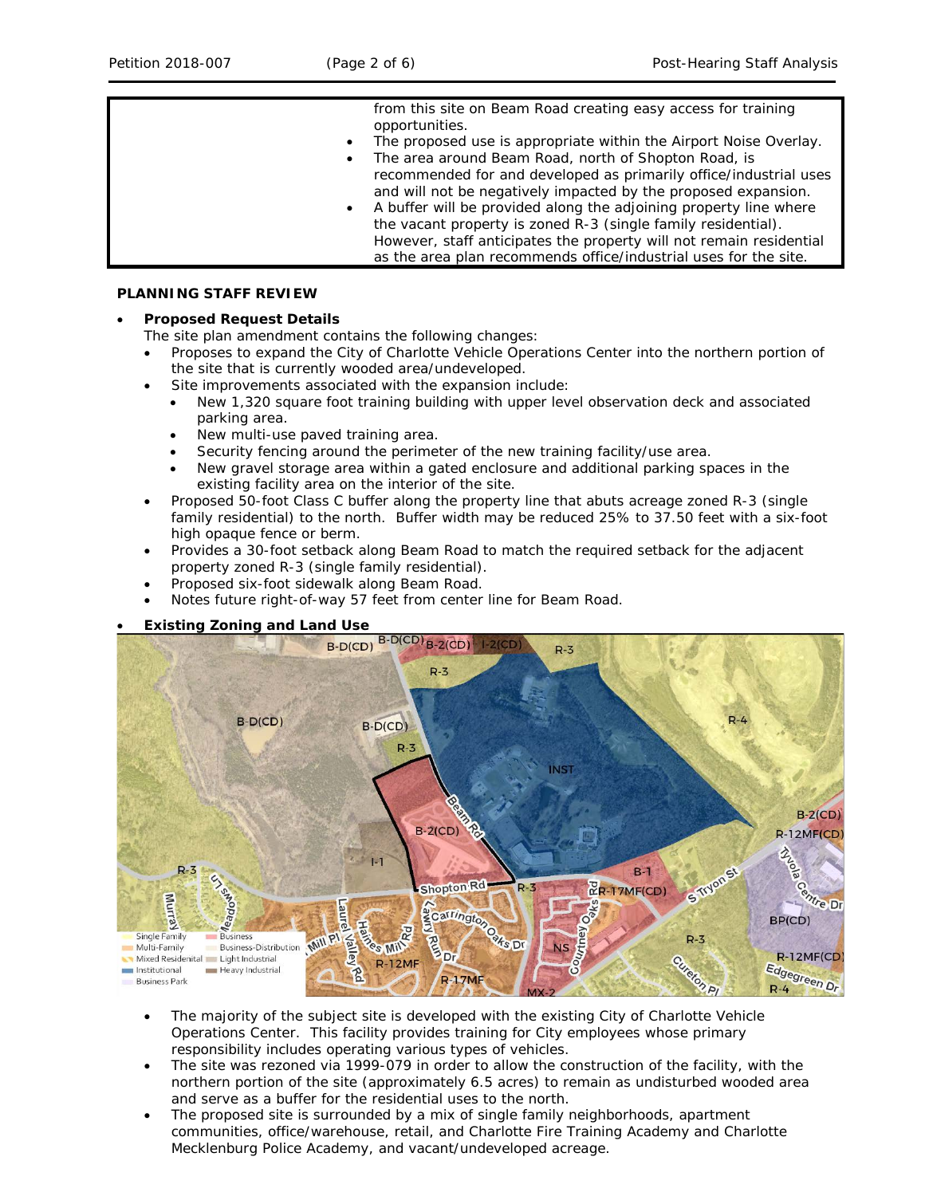| from this site on Beam Road creating easy access for training       |
|---------------------------------------------------------------------|
| opportunities.                                                      |
|                                                                     |
| The proposed use is appropriate within the Airport Noise Overlay.   |
| The area around Beam Road, north of Shopton Road, is                |
| recommended for and developed as primarily office/industrial uses   |
| and will not be negatively impacted by the proposed expansion.      |
| A buffer will be provided along the adjoining property line where   |
| the vacant property is zoned R-3 (single family residential).       |
| However, staff anticipates the property will not remain residential |
| as the area plan recommends office/industrial uses for the site.    |

## **PLANNING STAFF REVIEW**

# • **Proposed Request Details**

The site plan amendment contains the following changes:

- Proposes to expand the City of Charlotte Vehicle Operations Center into the northern portion of the site that is currently wooded area/undeveloped.
- Site improvements associated with the expansion include:
	- New 1,320 square foot training building with upper level observation deck and associated parking area.
	- New multi-use paved training area.
	- Security fencing around the perimeter of the new training facility/use area.
	- New gravel storage area within a gated enclosure and additional parking spaces in the existing facility area on the interior of the site.
- Proposed 50-foot Class C buffer along the property line that abuts acreage zoned R-3 (single family residential) to the north. Buffer width may be reduced 25% to 37.50 feet with a six-foot high opaque fence or berm.
- Provides a 30-foot setback along Beam Road to match the required setback for the adjacent property zoned R-3 (single family residential).
- Proposed six-foot sidewalk along Beam Road.
- Notes future right-of-way 57 feet from center line for Beam Road.



- The majority of the subject site is developed with the existing City of Charlotte Vehicle Operations Center. This facility provides training for City employees whose primary responsibility includes operating various types of vehicles.
- The site was rezoned via 1999-079 in order to allow the construction of the facility, with the northern portion of the site (approximately 6.5 acres) to remain as undisturbed wooded area and serve as a buffer for the residential uses to the north.
- The proposed site is surrounded by a mix of single family neighborhoods, apartment communities, office/warehouse, retail, and Charlotte Fire Training Academy and Charlotte Mecklenburg Police Academy, and vacant/undeveloped acreage.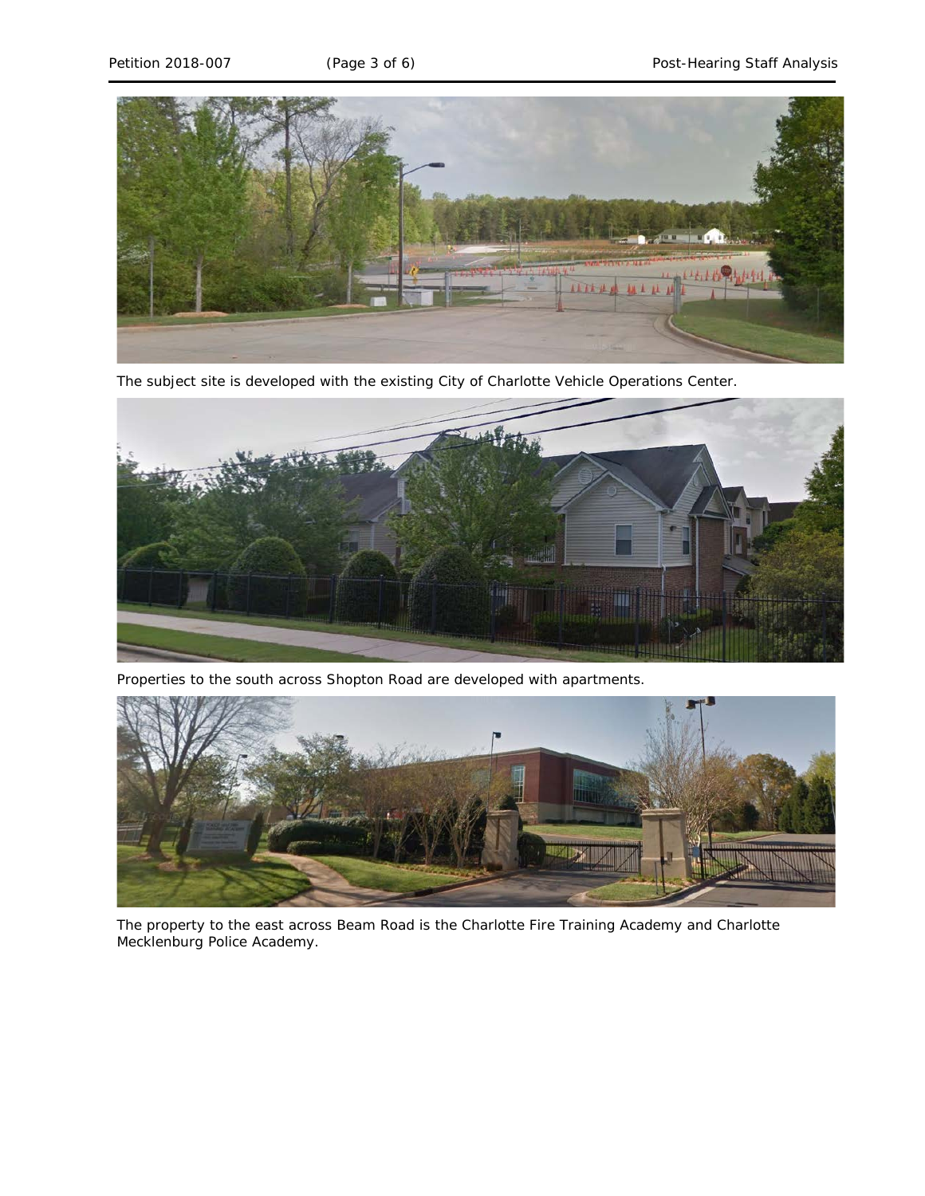

The subject site is developed with the existing City of Charlotte Vehicle Operations Center.



Properties to the south across Shopton Road are developed with apartments.



The property to the east across Beam Road is the Charlotte Fire Training Academy and Charlotte Mecklenburg Police Academy.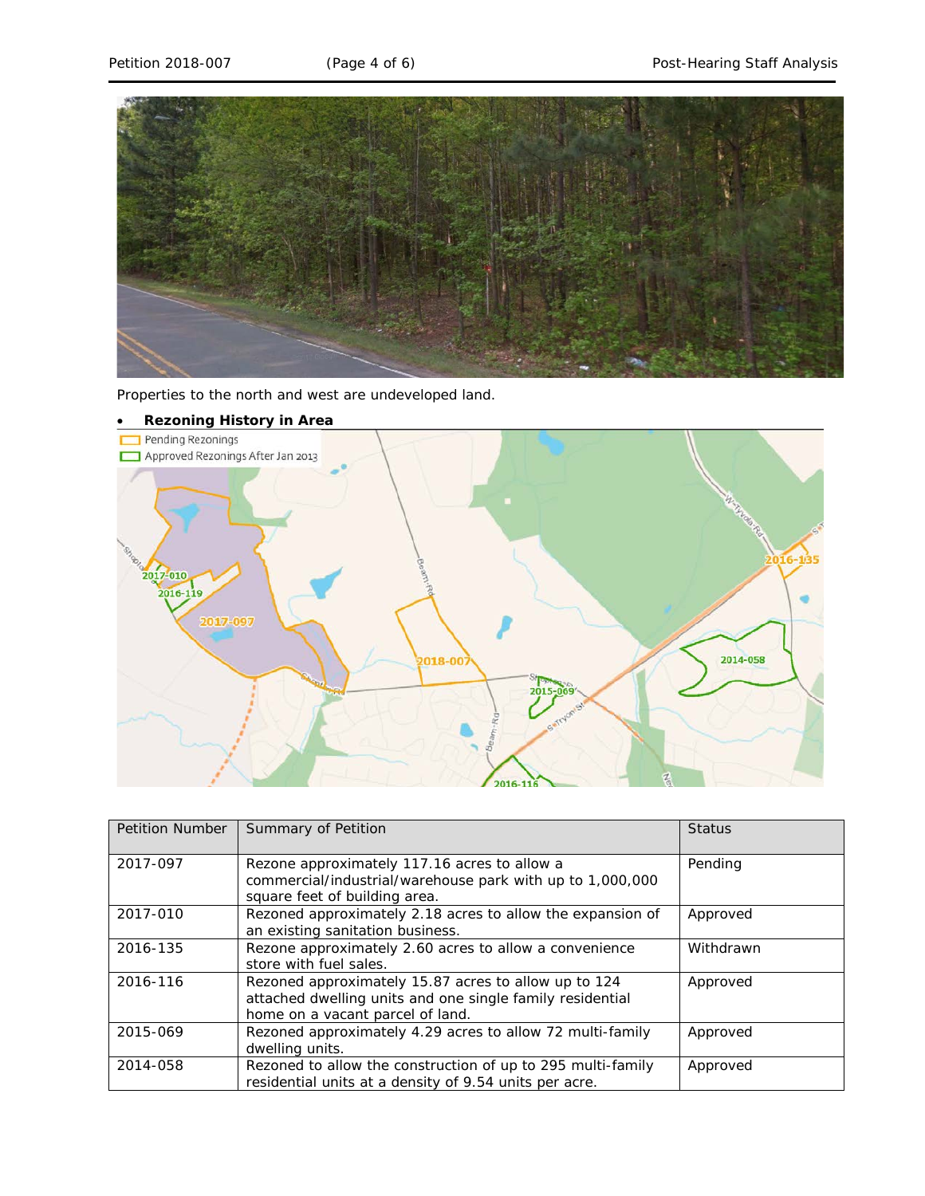

Properties to the north and west are undeveloped land.



| <b>Petition Number</b> | Summary of Petition                                                                                                                                   | <b>Status</b> |
|------------------------|-------------------------------------------------------------------------------------------------------------------------------------------------------|---------------|
| 2017-097               | Rezone approximately 117.16 acres to allow a<br>commercial/industrial/warehouse park with up to 1,000,000<br>square feet of building area.            | Pending       |
| 2017-010               | Rezoned approximately 2.18 acres to allow the expansion of<br>an existing sanitation business.                                                        | Approved      |
| 2016-135               | Rezone approximately 2.60 acres to allow a convenience<br>store with fuel sales.                                                                      | Withdrawn     |
| 2016-116               | Rezoned approximately 15.87 acres to allow up to 124<br>attached dwelling units and one single family residential<br>home on a vacant parcel of land. | Approved      |
| 2015-069               | Rezoned approximately 4.29 acres to allow 72 multi-family<br>dwelling units.                                                                          | Approved      |
| 2014-058               | Rezoned to allow the construction of up to 295 multi-family<br>residential units at a density of 9.54 units per acre.                                 | Approved      |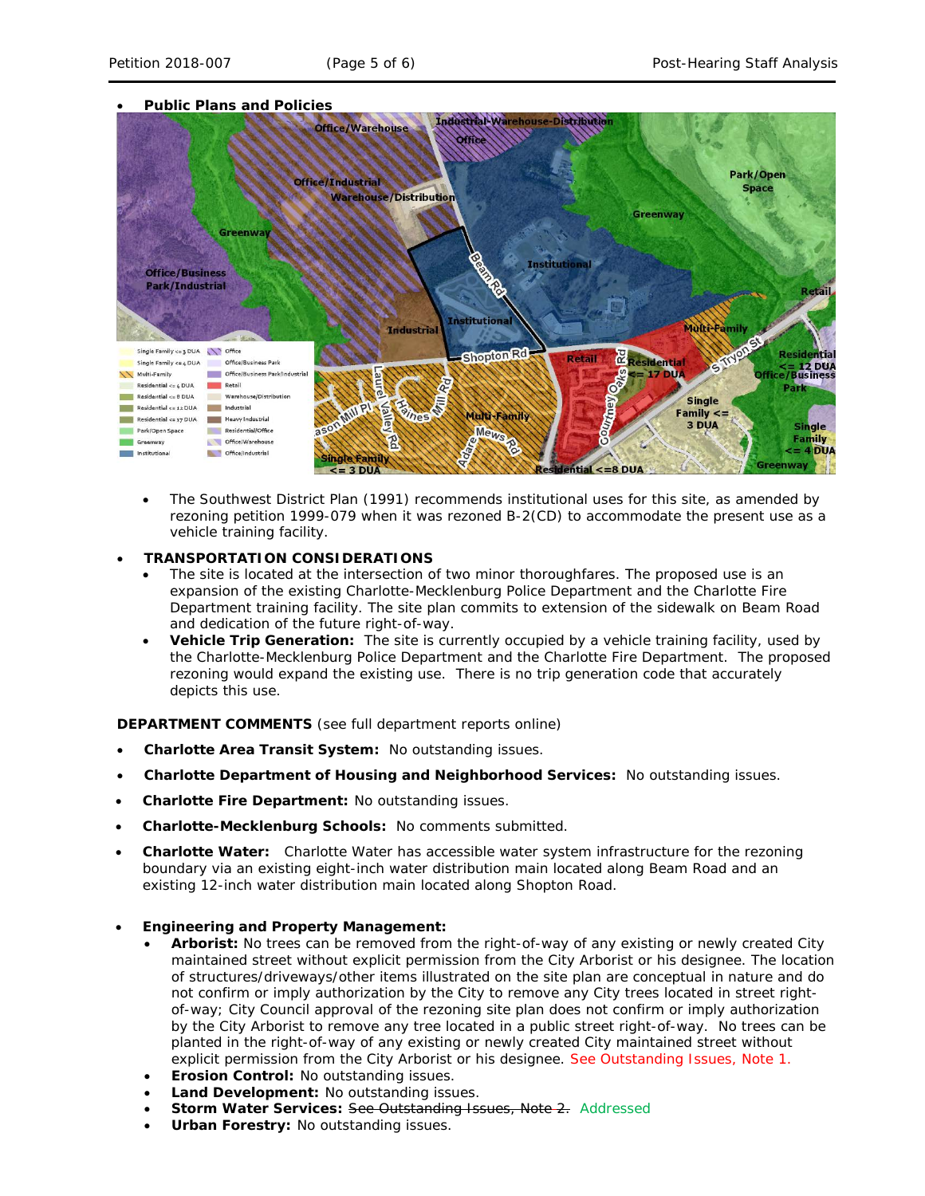

- The *Southwest District Plan* (1991) recommends institutional uses for this site, as amended by rezoning petition 1999-079 when it was rezoned B-2(CD) to accommodate the present use as a vehicle training facility.
- **TRANSPORTATION CONSIDERATIONS**
	- The site is located at the intersection of two minor thoroughfares. The proposed use is an expansion of the existing Charlotte-Mecklenburg Police Department and the Charlotte Fire Department training facility. The site plan commits to extension of the sidewalk on Beam Road and dedication of the future right-of-way.
	- **Vehicle Trip Generation:** The site is currently occupied by a vehicle training facility, used by the Charlotte-Mecklenburg Police Department and the Charlotte Fire Department. The proposed rezoning would expand the existing use. There is no trip generation code that accurately depicts this use.

**DEPARTMENT COMMENTS** (see full department reports online)

- **Charlotte Area Transit System:** No outstanding issues.
- **Charlotte Department of Housing and Neighborhood Services:** No outstanding issues.
- **Charlotte Fire Department:** No outstanding issues.
- **Charlotte-Mecklenburg Schools:** No comments submitted.
- **Charlotte Water:** Charlotte Water has accessible water system infrastructure for the rezoning boundary via an existing eight-inch water distribution main located along Beam Road and an existing 12-inch water distribution main located along Shopton Road.
- **Engineering and Property Management:**
	- **Arborist:** No trees can be removed from the right-of-way of any existing or newly created City maintained street without explicit permission from the City Arborist or his designee. The location of structures/driveways/other items illustrated on the site plan are conceptual in nature and do not confirm or imply authorization by the City to remove any City trees located in street rightof-way; City Council approval of the rezoning site plan does not confirm or imply authorization by the City Arborist to remove any tree located in a public street right-of-way. No trees can be planted in the right-of-way of any existing or newly created City maintained street without explicit permission from the City Arborist or his designee. See Outstanding Issues, Note 1.
	- **Erosion Control:** No outstanding issues.
	- **Land Development:** No outstanding issues.
	- **Storm Water Services: See Outstanding Issues, Note 2. Addressed**
	- **Urban Forestry:** No outstanding issues.